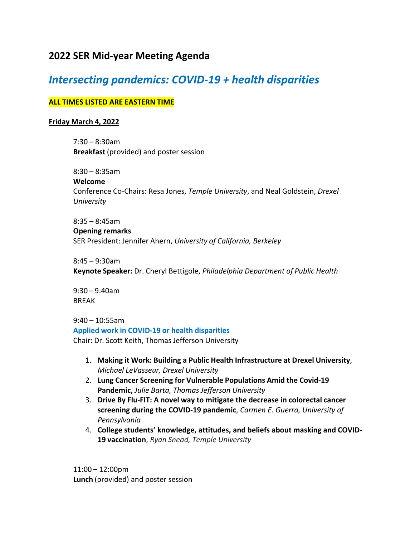# **2022 SER Mid-year Meeting Agenda**

# *Intersecting pandemics: COVID-19 + health disparities*

## **ALL TIMES LISTED ARE EASTERN TIME**

### **Friday March 4, 2022**

7:30 – 8:30am **Breakfast** (provided) and poster session

8:30 – 8:35am

**Welcome**

Conference Co-Chairs: Resa Jones, *Temple University*, and Neal Goldstein, *Drexel University*

8:35 – 8:45am

#### **Opening remarks**

SER President: Jennifer Ahern, *University of California, Berkeley*

8:45 – 9:30am

**Keynote Speaker:** Dr. Cheryl Bettigole, *Philadelphia Department of Public Health*

9:30 – 9:40am BREAK

9:40 – 10:55am **Applied work in COVID-19 or health disparities** Chair: Dr. Scott Keith, Thomas Jefferson University

- 1. **Making it Work: Building a Public Health Infrastructure at Drexel University**, *Michael LeVasseur, Drexel University*
- 2. **Lung Cancer Screening for Vulnerable Populations Amid the Covid-19 Pandemic,** *Julie Barta, Thomas Jefferson University*
- 3. **Drive By Flu-FIT: A novel way to mitigate the decrease in colorectal cancer screening during the COVID-19 pandemic**, *Carmen E. Guerra, University of Pennsylvania*
- 4. **College students' knowledge, attitudes, and beliefs about masking and COVID-19 vaccination**, *Ryan Snead, Temple University*

11:00 – 12:00pm **Lunch** (provided) and poster session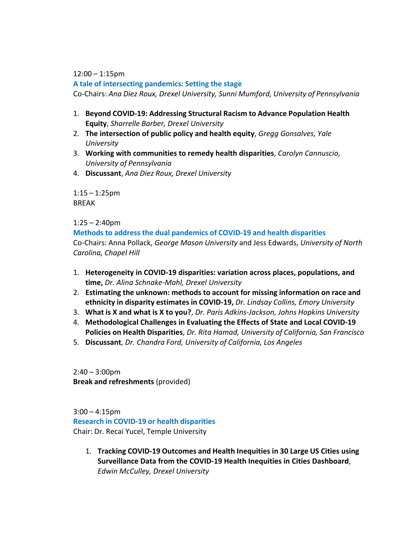12:00 – 1:15pm

**A tale of intersecting pandemics: Setting the stage**

Co-Chairs: *Ana Diez Roux, Drexel University, Sunni Mumford, University of Pennsylvania*

- 1. **Beyond COVID-19: Addressing Structural Racism to Advance Population Health Equity**, *Sharrelle Barber, Drexel University*
- 2. **The intersection of public policy and health equity**, *Gregg Gonsalves, Yale University*
- 3. **Working with communities to remedy health disparities**, *Carolyn Cannuscio, University of Pennsylvania*
- 4. **Discussant**, *Ana Diez Roux, Drexel University*

1:15 – 1:25pm BREAK

1:25 – 2:40pm

**Methods to address the dual pandemics of COVID-19 and health disparities** Co-Chairs: Anna Pollack, *George Mason University* and Jess Edwards, *University of North Carolina, Chapel Hill*

- 1. **Heterogeneity in COVID-19 disparities: variation across places, populations, and time,** *Dr. Alina Schnake-Mahl, Drexel University*
- 2. **Estimating the unknown: methods to account for missing information on race and ethnicity in disparity estimates in COVID-19,** *Dr. Lindsay Collins, Emory University*
- 3. **What is X and what is X to you?**, *Dr. Paris Adkins-Jackson, Johns Hopkins University*
- 4. **Methodological Challenges in Evaluating the Effects of State and Local COVID-19 Policies on Health Disparities**, *Dr. Rita Hamad, University of California, San Francisco*
- 5. **Discussant**, *Dr. Chandra Ford, University of California, Los Angeles*

 $2:40 - 3:00$ pm **Break and refreshments** (provided)

 $3:00 - 4:15$ pm **Research in COVID-19 or health disparities** Chair: Dr. Recai Yucel, Temple University

1. **Tracking COVID-19 Outcomes and Health Inequities in 30 Large US Cities using Surveillance Data from the COVID-19 Health Inequities in Cities Dashboard**, *Edwin McCulley, Drexel University*